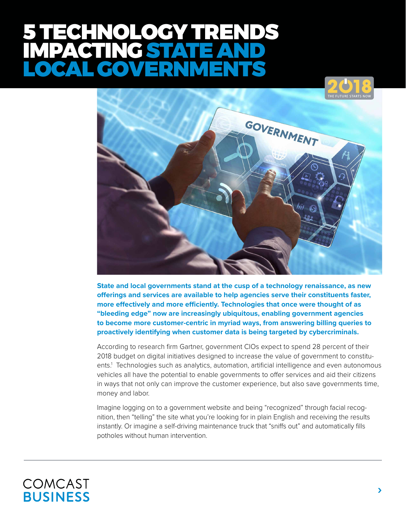# ECHNOLOGY TRENDS PACTING STAT LOCAL GOVERNMENTS



**State and local governments stand at the cusp of a technology renaissance, as new offerings and services are available to help agencies serve their constituents faster, more effectively and more efficiently. Technologies that once were thought of as "bleeding edge" now are increasingly ubiquitous, enabling government agencies to become more customer-centric in myriad ways, from answering billing queries to proactively identifying when customer data is being targeted by cybercriminals.**

According to research firm Gartner, government CIOs expect to spend 28 percent of their 2018 budget on digital initiatives designed to increase the value of government to constituents.1 Technologies such as analytics, automation, artificial intelligence and even autonomous vehicles all have the potential to enable governments to offer services and aid their citizens in ways that not only can improve the customer experience, but also save governments time, money and labor.

Imagine logging on to a government website and being "recognized" through facial recognition, then "telling" the site what you're looking for in plain English and receiving the results instantly. Or imagine a self-driving maintenance truck that "sniffs out" and automatically fills potholes without human intervention.

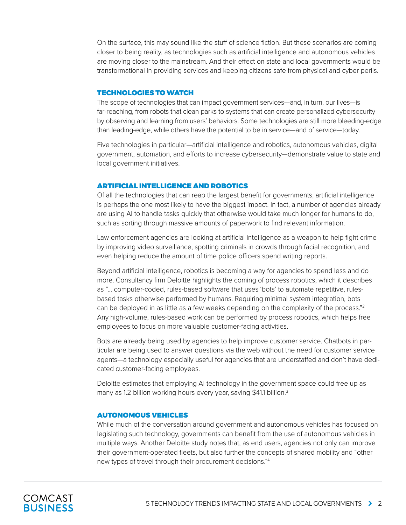On the surface, this may sound like the stuff of science fiction. But these scenarios are coming closer to being reality, as technologies such as artificial intelligence and autonomous vehicles are moving closer to the mainstream. And their effect on state and local governments would be transformational in providing services and keeping citizens safe from physical and cyber perils.

#### TECHNOLOGIES TO WATCH

The scope of technologies that can impact government services—and, in turn, our lives—is far-reaching, from robots that clean parks to systems that can create personalized cybersecurity by observing and learning from users' behaviors. Some technologies are still more bleeding-edge than leading-edge, while others have the potential to be in service—and of service—today.

Five technologies in particular—artificial intelligence and robotics, autonomous vehicles, digital government, automation, and efforts to increase cybersecurity—demonstrate value to state and local government initiatives.

## ARTIFICIAL INTELLIGENCE AND ROBOTICS

Of all the technologies that can reap the largest benefit for governments, artificial intelligence is perhaps the one most likely to have the biggest impact. In fact, a number of agencies already are using AI to handle tasks quickly that otherwise would take much longer for humans to do, such as sorting through massive amounts of paperwork to find relevant information.

Law enforcement agencies are looking at artificial intelligence as a weapon to help fight crime by improving video surveillance, spotting criminals in crowds through facial recognition, and even helping reduce the amount of time police officers spend writing reports.

Beyond artificial intelligence, robotics is becoming a way for agencies to spend less and do more. Consultancy firm Deloitte highlights the coming of process robotics, which it describes as "… computer-coded, rules-based software that uses 'bots' to automate repetitive, rulesbased tasks otherwise performed by humans. Requiring minimal system integration, bots can be deployed in as little as a few weeks depending on the complexity of the process."<sup>2</sup> Any high-volume, rules-based work can be performed by process robotics, which helps free employees to focus on more valuable customer-facing activities.

Bots are already being used by agencies to help improve customer service. Chatbots in particular are being used to answer questions via the web without the need for customer service agents—a technology especially useful for agencies that are understaffed and don't have dedicated customer-facing employees.

Deloitte estimates that employing AI technology in the government space could free up as many as 1.2 billion working hours every year, saving \$41.1 billion.<sup>3</sup>

# AUTONOMOUS VEHICLES

While much of the conversation around government and autonomous vehicles has focused on legislating such technology, governments can benefit from the use of autonomous vehicles in multiple ways. Another Deloitte study notes that, as end users, agencies not only can improve their government-operated fleets, but also further the concepts of shared mobility and "other new types of travel through their procurement decisions."4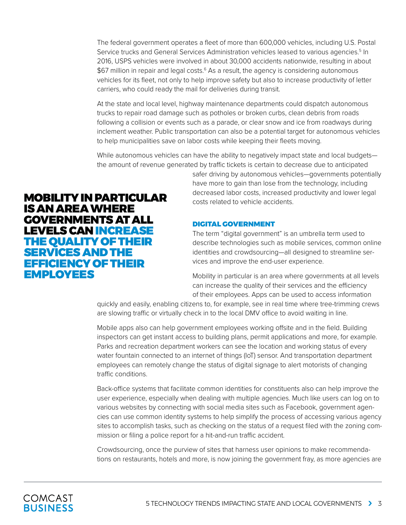The federal government operates a fleet of more than 600,000 vehicles, including U.S. Postal Service trucks and General Services Administration vehicles leased to various agencies.<sup>5</sup> In 2016, USPS vehicles were involved in about 30,000 accidents nationwide, resulting in about \$67 million in repair and legal costs.<sup>6</sup> As a result, the agency is considering autonomous vehicles for its fleet, not only to help improve safety but also to increase productivity of letter carriers, who could ready the mail for deliveries during transit.

At the state and local level, highway maintenance departments could dispatch autonomous trucks to repair road damage such as potholes or broken curbs, clean debris from roads following a collision or events such as a parade, or clear snow and ice from roadways during inclement weather. Public transportation can also be a potential target for autonomous vehicles to help municipalities save on labor costs while keeping their fleets moving.

While autonomous vehicles can have the ability to negatively impact state and local budgets the amount of revenue generated by traffic tickets is certain to decrease due to anticipated

> safer driving by autonomous vehicles—governments potentially have more to gain than lose from the technology, including decreased labor costs, increased productivity and lower legal costs related to vehicle accidents.

# DIGITAL GOVERNMENT

The term "digital government" is an umbrella term used to describe technologies such as mobile services, common online identities and crowdsourcing—all designed to streamline services and improve the end-user experience.

Mobility in particular is an area where governments at all levels can increase the quality of their services and the efficiency of their employees. Apps can be used to access information

quickly and easily, enabling citizens to, for example, see in real time where tree-trimming crews are slowing traffic or virtually check in to the local DMV office to avoid waiting in line.

Mobile apps also can help government employees working offsite and in the field. Building inspectors can get instant access to building plans, permit applications and more, for example. Parks and recreation department workers can see the location and working status of every water fountain connected to an internet of things (IoT) sensor. And transportation department employees can remotely change the status of digital signage to alert motorists of changing traffic conditions.

Back-office systems that facilitate common identities for constituents also can help improve the user experience, especially when dealing with multiple agencies. Much like users can log on to various websites by connecting with social media sites such as Facebook, government agencies can use common identity systems to help simplify the process of accessing various agency sites to accomplish tasks, such as checking on the status of a request filed with the zoning commission or filing a police report for a hit-and-run traffic accident.

Crowdsourcing, once the purview of sites that harness user opinions to make recommendations on restaurants, hotels and more, is now joining the government fray, as more agencies are

# MOBILITY IN PARTICULAR IS AN AREA WHERE GOVERNMENTS AT ALL LEVELS CAN INCREASE THE QUALITY OF THEIR SERVICES AND THE EFFICIENCY OF THEIR EMPLOYEES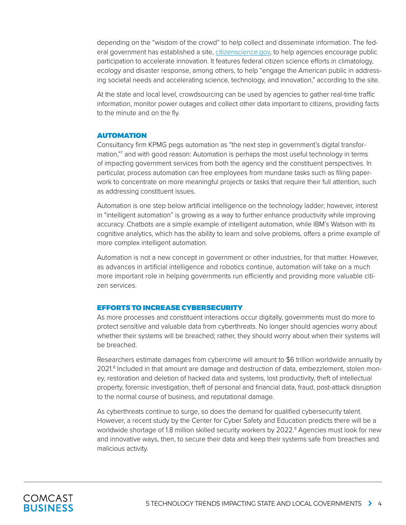depending on the "wisdom of the crowd" to help collect and disseminate information. The federal government has established a site, [citizenscience.gov](https://www.citizenscience.gov/), to help agencies encourage public participation to accelerate innovation. It features federal citizen science efforts in climatology, ecology and disaster response, among others, to help "engage the American public in addressing societal needs and accelerating science, technology, and innovation," according to the site.

At the state and local level, crowdsourcing can be used by agencies to gather real-time traffic information, monitor power outages and collect other data important to citizens, providing facts to the minute and on the fly.

#### AUTOMATION

Consultancy firm KPMG pegs automation as "the next step in government's digital transformation,"7 and with good reason: Automation is perhaps the most useful technology in terms of impacting government services from both the agency and the constituent perspectives. In particular, process automation can free employees from mundane tasks such as filing paperwork to concentrate on more meaningful projects or tasks that require their full attention, such as addressing constituent issues.

Automation is one step below artificial intelligence on the technology ladder; however, interest in "intelligent automation" is growing as a way to further enhance productivity while improving accuracy. Chatbots are a simple example of intelligent automation, while IBM's Watson with its cognitive analytics, which has the ability to learn and solve problems, offers a prime example of more complex intelligent automation.

Automation is not a new concept in government or other industries, for that matter. However, as advances in artificial intelligence and robotics continue, automation will take on a much more important role in helping governments run efficiently and providing more valuable citizen services.

#### EFFORTS TO INCREASE CYBERSECURITY

As more processes and constituent interactions occur digitally, governments must do more to protect sensitive and valuable data from cyberthreats. No longer should agencies worry about whether their systems will be breached; rather, they should worry about when their systems will be breached.

Researchers estimate damages from cybercrime will amount to \$6 trillion worldwide annually by 2021.8 Included in that amount are damage and destruction of data, embezzlement, stolen money, restoration and deletion of hacked data and systems, lost productivity, theft of intellectual property, forensic investigation, theft of personal and financial data, fraud, post-attack disruption to the normal course of business, and reputational damage.

As cyberthreats continue to surge, so does the demand for qualified cybersecurity talent. However, a recent study by the Center for Cyber Safety and Education predicts there will be a worldwide shortage of 1.8 million skilled security workers by 2022.<sup>9</sup> Agencies must look for new and innovative ways, then, to secure their data and keep their systems safe from breaches and malicious activity.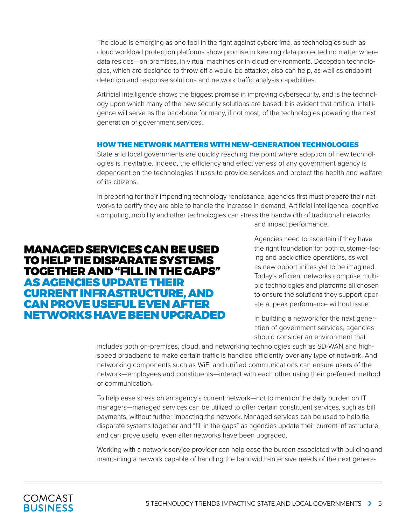The cloud is emerging as one tool in the fight against cybercrime, as technologies such as cloud workload protection platforms show promise in keeping data protected no matter where data resides—on-premises, in virtual machines or in cloud environments. Deception technologies, which are designed to throw off a would-be attacker, also can help, as well as endpoint detection and response solutions and network traffic analysis capabilities.

Artificial intelligence shows the biggest promise in improving cybersecurity, and is the technology upon which many of the new security solutions are based. It is evident that artificial intelligence will serve as the backbone for many, if not most, of the technologies powering the next generation of government services.

## HOW THE NETWORK MATTERS WITH NEW-GENERATION TECHNOLOGIES

State and local governments are quickly reaching the point where adoption of new technologies is inevitable. Indeed, the efficiency and effectiveness of any government agency is dependent on the technologies it uses to provide services and protect the health and welfare of its citizens.

In preparing for their impending technology renaissance, agencies first must prepare their networks to certify they are able to handle the increase in demand. Artificial intelligence, cognitive computing, mobility and other technologies can stress the bandwidth of traditional networks

# MANAGED SERVICES CAN BE USED TO HELP TIE DISPARATE SYSTEMS TOGETHER AND "FILL IN THE GAPS" AS AGENCIES UPDATE THEIR CURRENT INFRASTRUCTURE, AND CAN PROVE USEFUL EVEN AFTER NETWORKS HAVE BEEN UPGRADED

and impact performance.

Agencies need to ascertain if they have the right foundation for both customer-facing and back-office operations, as well as new opportunities yet to be imagined. Today's efficient networks comprise multiple technologies and platforms all chosen to ensure the solutions they support operate at peak performance without issue.

In building a network for the next generation of government services, agencies should consider an environment that

includes both on-premises, cloud, and networking technologies such as SD-WAN and highspeed broadband to make certain traffic is handled efficiently over any type of network. And networking components such as WiFi and unified communications can ensure users of the network—employees and constituents—interact with each other using their preferred method of communication.

To help ease stress on an agency's current network—not to mention the daily burden on IT managers—managed services can be utilized to offer certain constituent services, such as bill payments, without further impacting the network. Managed services can be used to help tie disparate systems together and "fill in the gaps" as agencies update their current infrastructure, and can prove useful even after networks have been upgraded.

Working with a network service provider can help ease the burden associated with building and maintaining a network capable of handling the bandwidth-intensive needs of the next genera-